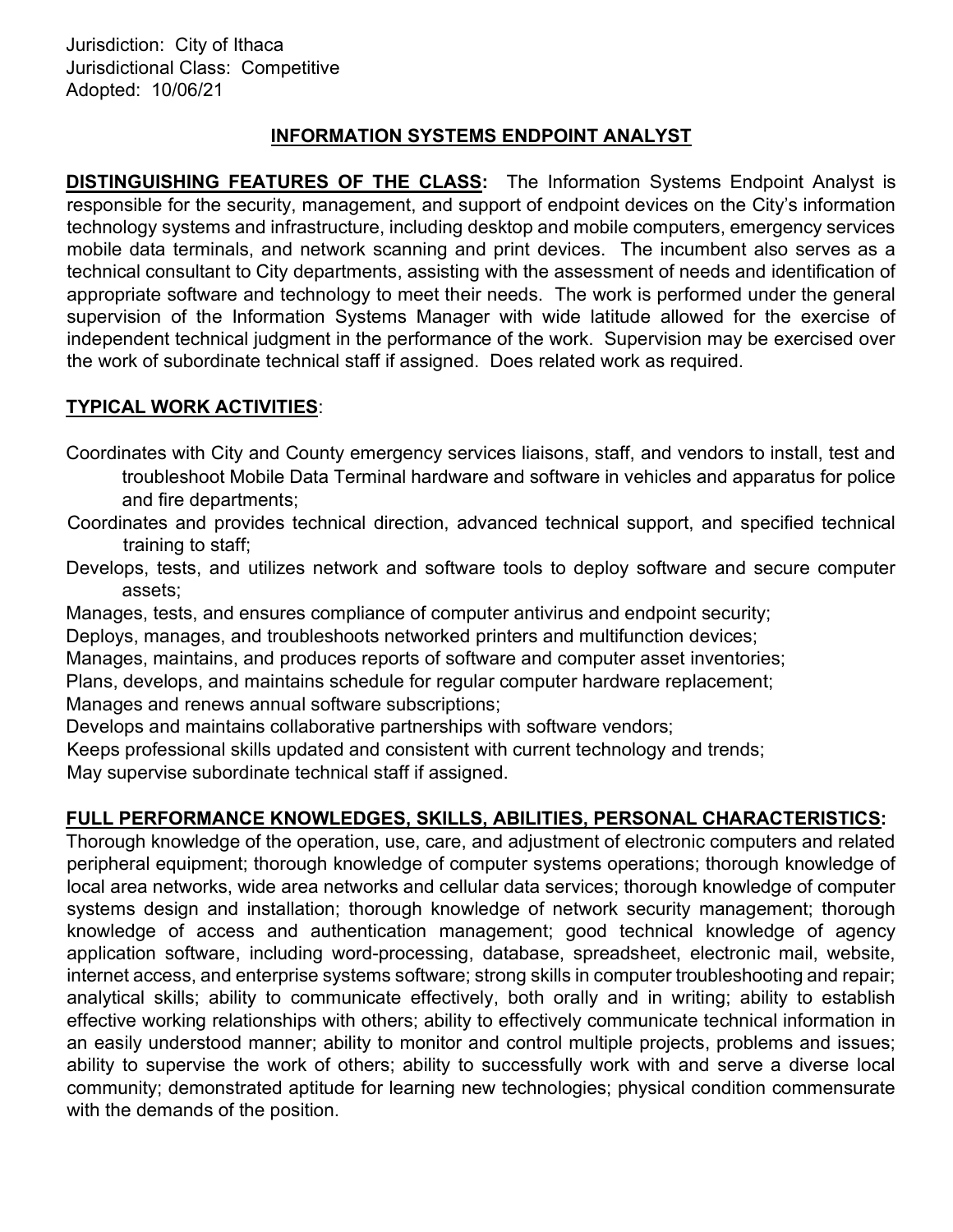## INFORMATION SYSTEMS ENDPOINT ANALYST

DISTINGUISHING FEATURES OF THE CLASS: The Information Systems Endpoint Analyst is responsible for the security, management, and support of endpoint devices on the City's information technology systems and infrastructure, including desktop and mobile computers, emergency services mobile data terminals, and network scanning and print devices. The incumbent also serves as a technical consultant to City departments, assisting with the assessment of needs and identification of appropriate software and technology to meet their needs. The work is performed under the general supervision of the Information Systems Manager with wide latitude allowed for the exercise of independent technical judgment in the performance of the work. Supervision may be exercised over the work of subordinate technical staff if assigned. Does related work as required.

## TYPICAL WORK ACTIVITIES:

- Coordinates with City and County emergency services liaisons, staff, and vendors to install, test and troubleshoot Mobile Data Terminal hardware and software in vehicles and apparatus for police and fire departments;
- Coordinates and provides technical direction, advanced technical support, and specified technical training to staff;
- Develops, tests, and utilizes network and software tools to deploy software and secure computer assets;
- Manages, tests, and ensures compliance of computer antivirus and endpoint security;
- Deploys, manages, and troubleshoots networked printers and multifunction devices;
- Manages, maintains, and produces reports of software and computer asset inventories;
- Plans, develops, and maintains schedule for regular computer hardware replacement;
- Manages and renews annual software subscriptions;
- Develops and maintains collaborative partnerships with software vendors;
- Keeps professional skills updated and consistent with current technology and trends;
- May supervise subordinate technical staff if assigned.

# FULL PERFORMANCE KNOWLEDGES, SKILLS, ABILITIES, PERSONAL CHARACTERISTICS:

Thorough knowledge of the operation, use, care, and adjustment of electronic computers and related peripheral equipment; thorough knowledge of computer systems operations; thorough knowledge of local area networks, wide area networks and cellular data services; thorough knowledge of computer systems design and installation; thorough knowledge of network security management; thorough knowledge of access and authentication management; good technical knowledge of agency application software, including word-processing, database, spreadsheet, electronic mail, website, internet access, and enterprise systems software; strong skills in computer troubleshooting and repair; analytical skills; ability to communicate effectively, both orally and in writing; ability to establish effective working relationships with others; ability to effectively communicate technical information in an easily understood manner; ability to monitor and control multiple projects, problems and issues; ability to supervise the work of others; ability to successfully work with and serve a diverse local community; demonstrated aptitude for learning new technologies; physical condition commensurate with the demands of the position.